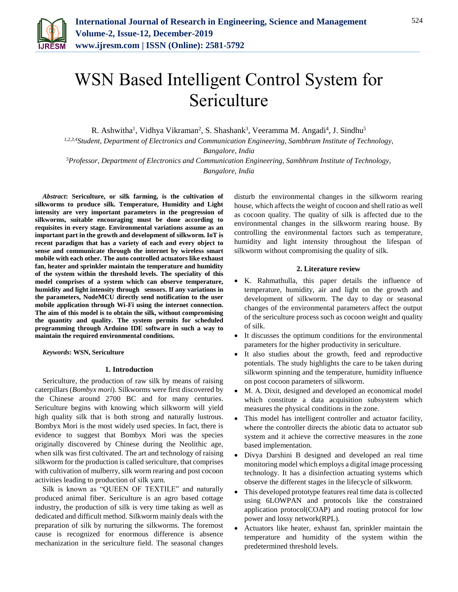

# WSN Based Intelligent Control System for Sericulture

R. Ashwitha<sup>1</sup>, Vidhya Vikraman<sup>2</sup>, S. Shashank<sup>3</sup>, Veeramma M. Angadi<sup>4</sup>, J. Sindhu<sup>5</sup>

*1,2,3,4Student, Department of Electronics and Communication Engineering, Sambhram Institute of Technology,* 

*Bangalore, India*

*<sup>5</sup>Professor, Department of Electronics and Communication Engineering, Sambhram Institute of Technology, Bangalore, India*

*Abstract***: Sericulture, or silk farming, is the cultivation of silkworms to produce silk. Temperature, Humidity and Light intensity are very important parameters in the progression of silkworms, suitable encouraging must be done according to requisites in every stage. Environmental variations assume as an important part in the growth and development of silkworm. IoT is recent paradigm that has a variety of each and every object to sense and communicate through the internet by wireless smart mobile with each other. The auto controlled actuators like exhaust fan, heater and sprinkler maintain the temperature and humidity of the system within the threshold levels. The speciality of this model comprises of a system which can observe temperature, humidity and light intensity through sensors. If any variations in the parameters, NodeMCU directly send notification to the user mobile application through Wi-Fi using the internet connection. The aim of this model is to obtain the silk, without compromising the quantity and quality. The system permits for scheduled programming through Arduino IDE software in such a way to maintain the required environmental conditions.**

*Keywords***: WSN, Sericulture**

### **1. Introduction**

Sericulture, the production of raw silk by means of raising caterpillars (*Bombyx mori*). Silkworms were first discovered by the Chinese around 2700 BC and for many centuries. Sericulture begins with knowing which silkworm will yield high quality silk that is both strong and naturally lustrous. Bombyx Mori is the most widely used species. In fact, there is evidence to suggest that Bombyx Mori was the species originally discovered by Chinese during the Neolithic age, when silk was first cultivated. The art and technology of raising silkworm for the production is called sericulture, that comprises with cultivation of mulberry, silk worm rearing and post cocoon activities leading to production of silk yarn.

Silk is known as "QUEEN OF TEXTILE" and naturally produced animal fiber. Sericulture is an agro based cottage industry, the production of silk is very time taking as well as dedicated and difficult method. Silkworm mainly deals with the preparation of silk by nurturing the silkworms. The foremost cause is recognized for enormous difference is absence mechanization in the sericulture field. The seasonal changes disturb the environmental changes in the silkworm rearing house, which affects the weight of cocoon and shell ratio as well as cocoon quality. The quality of silk is affected due to the environmental changes in the silkworm rearing house. By controlling the environmental factors such as temperature, humidity and light intensity throughout the lifespan of silkworm without compromising the quality of silk.

#### **2. Literature review**

- K. Rahmathulla, this paper details the influence of temperature, humidity, air and light on the growth and development of silkworm. The day to day or seasonal changes of the environmental parameters affect the output of the sericulture process such as cocoon weight and quality of silk.
- It discusses the optimum conditions for the environmental parameters for the higher productivity in sericulture.
- It also studies about the growth, feed and reproductive potentials. The study highlights the care to be taken during silkworm spinning and the temperature, humidity influence on post cocoon parameters of silkworm.
- M. A. Dixit, designed and developed an economical model which constitute a data acquisition subsystem which measures the physical conditions in the zone.
- This model has intelligent controller and actuator facility, where the controller directs the abiotic data to actuator sub system and it achieve the corrective measures in the zone based implementation.
- Divya Darshini B designed and developed an real time monitoring model which employs a digital image processing technology. It has a disinfection actuating systems which observe the different stages in the lifecycle of silkworm.
- This developed prototype features real time data is collected using 6LOWPAN and protocols like the constrained application protocol(COAP) and routing protocol for low power and lossy network(RPL).
- Actuators like heater, exhaust fan, sprinkler maintain the temperature and humidity of the system within the predetermined threshold levels.